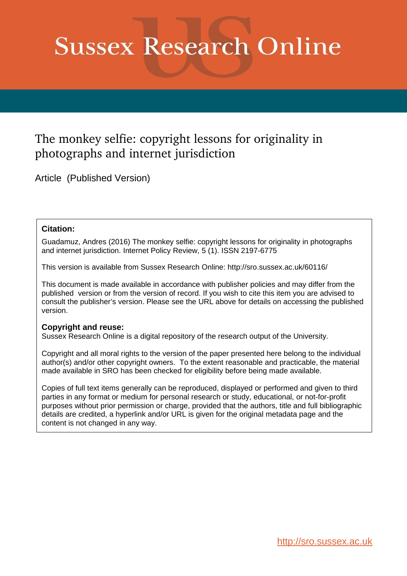# **Sussex Research Online**

# The monkey selfie: copyright lessons for originality in photographs and internet jurisdiction

Article (Published Version)

#### **Citation:**

Guadamuz, Andres (2016) The monkey selfie: copyright lessons for originality in photographs and internet jurisdiction. Internet Policy Review, 5 (1). ISSN 2197-6775

This version is available from Sussex Research Online: http://sro.sussex.ac.uk/60116/

This document is made available in accordance with publisher policies and may differ from the published version or from the version of record. If you wish to cite this item you are advised to consult the publisher's version. Please see the URL above for details on accessing the published version.

#### **Copyright and reuse:**

Sussex Research Online is a digital repository of the research output of the University.

Copyright and all moral rights to the version of the paper presented here belong to the individual author(s) and/or other copyright owners. To the extent reasonable and practicable, the material made available in SRO has been checked for eligibility before being made available.

Copies of full text items generally can be reproduced, displayed or performed and given to third parties in any format or medium for personal research or study, educational, or not-for-profit purposes without prior permission or charge, provided that the authors, title and full bibliographic details are credited, a hyperlink and/or URL is given for the original metadata page and the content is not changed in any way.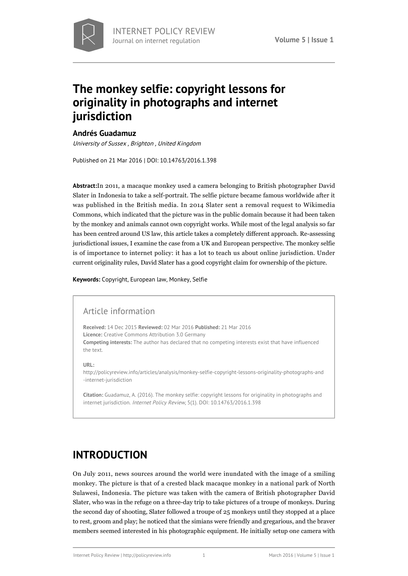

# **[The monkey selfie: copyright lessons for](http://policyreview.info/articles/analysis/monkey-selfie-copyright-lessons-originality-photographs-and-internet-jurisdiction) [originality in photographs and internet](http://policyreview.info/articles/analysis/monkey-selfie-copyright-lessons-originality-photographs-and-internet-jurisdiction) [jurisdiction](http://policyreview.info/articles/analysis/monkey-selfie-copyright-lessons-originality-photographs-and-internet-jurisdiction)**

#### **[Andrés Guadamuz](http://policyreview.info/users/andres-guadamuz)**

University of Sussex , Brighton , United Kingdom

Published on 21 Mar 2016 | DOI: 10.14763/2016.1.398

**Abstract:**In 2011, a macaque monkey used a camera belonging to British photographer David Slater in Indonesia to take a self-portrait. The selfie picture became famous worldwide after it was published in the British media. In 2014 Slater sent a removal request to Wikimedia Commons, which indicated that the picture was in the public domain because it had been taken by the monkey and animals cannot own copyright works. While most of the legal analysis so far has been centred around US law, this article takes a completely different approach. Re-assessing jurisdictional issues, I examine the case from a UK and European perspective. The monkey selfie is of importance to internet policy: it has a lot to teach us about online jurisdiction. Under current originality rules, David Slater has a good copyright claim for ownership of the picture.

**Keywords:** [Copyright](http://policyreview.info/tags/copyright), [European law,](http://policyreview.info/tags/european-law) [Monkey,](http://policyreview.info/tags/monkey) [Selfie](http://policyreview.info/tags/selfie)

#### Article information

**Received:** 14 Dec 2015 **Reviewed:** 02 Mar 2016 **Published:** 21 Mar 2016 **Licence:** Creative Commons Attribution 3.0 Germany **Competing interests:** The author has declared that no competing interests exist that have influenced the text.

**URL:**

[http://policyreview.info/articles/analysis/monkey-selfie-copyright-lessons-originality-photographs-and](http://policyreview.info/articles/analysis/monkey-selfie-copyright-lessons-originality-photographs-and-internet-jurisdiction) [-internet-jurisdiction](http://policyreview.info/articles/analysis/monkey-selfie-copyright-lessons-originality-photographs-and-internet-jurisdiction)

**Citation:** Guadamuz, A. (2016). The monkey selfie: copyright lessons for originality in photographs and internet jurisdiction. Internet Policy Review, 5(1). DOI: 10.14763/2016.1.398

### **INTRODUCTION**

On July 2011, news sources around the world were inundated with the image of a smiling monkey. The picture is that of a [crested black macaque monkey](https://en.wikipedia.org/wiki/Celebes_crested_macaque) in a national park of North Sulawesi, Indonesia. The picture was taken with the camera of British photographer David Slater, who was in the refuge on a three-day trip to take pictures of a troupe of monkeys. During the second day of shooting, Slater followed a troupe of 25 monkeys until they stopped at a place to rest, groom and play; he noticed that the simians were friendly and gregarious, and the braver members seemed interested in his photographic equipment. He initially setup one camera with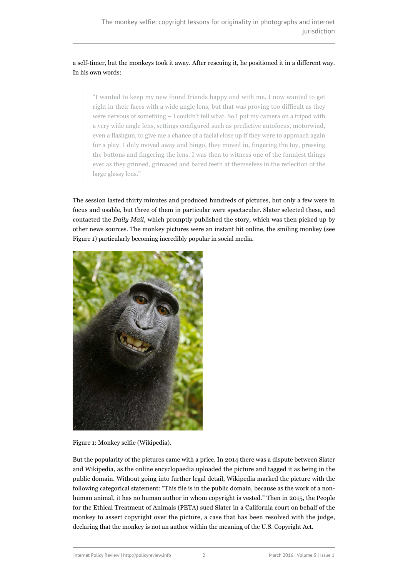#### a self-timer, but the monkeys took it away. After rescuing it, he positioned it in a different way. In [his own words](http://www.djsphotography.co.uk/original_story.html):

"I wanted to keep my new found friends happy and with me. I now wanted to get right in their faces with a wide angle lens, but that was proving too difficult as they were nervous of something – I couldn't tell what. So I put my camera on a tripod with a very wide angle lens, settings configured such as predictive autofocus, motorwind, even a flashgun, to give me a chance of a facial close up if they were to approach again for a play. I duly moved away and bingo, they moved in, fingering the toy, pressing the buttons and fingering the lens. I was then to witness one of the funniest things ever as they grinned, grimaced and bared teeth at themselves in the reflection of the large glassy lens."

The session lasted thirty minutes and produced hundreds of pictures, but only a few were in focus and usable, but three of them in particular were spectacular. Slater selected these, and contacted the *Daily Mail*, which promptly [published the story,](http://www.dailymail.co.uk/news/article-2011051/Black-macaque-takes-self-portrait-Monkey-borrows-photographers-camera.html) which was then picked up by [other news sources.](http://www.telegraph.co.uk/news/newstopics/howaboutthat/8615859/Monkey-steals-camera-to-snap-himself.html) The monkey pictures were an instant hit online, the smiling monkey (see Figure 1) particularly becoming incredibly popular in social media.



Figure 1: Monkey selfie ([Wikipedia](https://en.wikipedia.org/wiki/Celebes_crested_macaque#/media/File:Macaca_nigra_self-portrait_large.jpg)).

But the popularity of the pictures came with a price. In 2014 there was [a dispute](http://www.telegraph.co.uk/technology/news/11015672/Wikipedia-refuses-to-delete-photo-as-monkey-owns-it.html) between Slater and Wikipedia, as the online encyclopaedia uploaded the picture and tagged it as being in the public domain. Without going into further legal detail, [Wikipedia marked the picture](https://commons.wikimedia.org/wiki/File:Macaca_nigra_self-portrait_large.jpg) with the following categorical statement: "This file is in the public domain, because as the work of a nonhuman animal, it has no human author in whom copyright is vested." Then in 2015, the People for the Ethical Treatment of Animals (PETA) [sued Slater](http://www.theguardian.com/world/2015/sep/22/monkey-selfies-copyright-lawsuit-peta) in a California court on behalf of the monkey to assert copyright over the picture, a case that has [been resolved](https://assets.documentcloud.org/documents/2700588/Gov-Uscourts-Cand-291324-45-0.pdf) with the judge, declaring that the monkey is not an author within the meaning of the U.S. Copyright Act.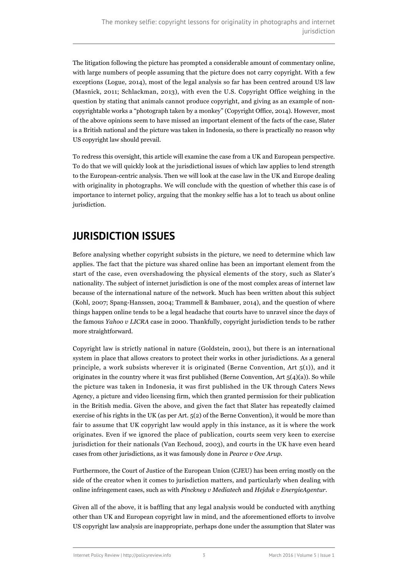The litigation following the picture has prompted a considerable amount of commentary online, with large numbers of people assuming that the picture does not carry copyright. With a few exceptions (Logue, 2014), most of the legal analysis so far has been centred around US law (Masnick, 2011; Schlackman, 2013), with even the U.S. Copyright Office weighing in the question by stating that animals cannot produce copyright, and giving as an example of noncopyrightable works a "photograph taken by a monkey" (Copyright Office, 2014). However, most of the above opinions seem to have missed an important element of the facts of the case, Slater is a British national and the picture was taken in Indonesia, so there is practically no reason why US copyright law should prevail.

To redress this oversight, this article will examine the case from a UK and European perspective. To do that we will quickly look at the jurisdictional issues of which law applies to lend strength to the European-centric analysis. Then we will look at the case law in the UK and Europe dealing with originality in photographs. We will conclude with the question of whether this case is of importance to internet policy, arguing that the monkey selfie has a lot to teach us about online jurisdiction.

## **JURISDICTION ISSUES**

Before analysing whether copyright subsists in the picture, we need to determine which law applies. The fact that the picture was shared online has been an important element from the start of the case, even overshadowing the physical elements of the story, such as Slater's nationality. The subject of internet jurisdiction is one of the most complex areas of internet law because of the international nature of the network. Much has been written about this subject (Kohl, 2007; Spang-Hanssen, 2004; Trammell & Bambauer, 2014), and the question of where things happen online tends to be a legal headache that courts have to unravel since the days of the famous *Yahoo v LICRA* case in 2000. Thankfully, copyright jurisdiction tends to be rather more straightforward.

Copyright law is strictly national in nature (Goldstein, 2001), but there is an international system in place that allows creators to protect their works in other jurisdictions. As a general principle, a work subsists wherever it is originated (Berne Convention, Art  $5(1)$ ), and it originates in the country where it was first published (Berne Convention, Art  $5(4)(a)$ ). So while the picture was taken in Indonesia, it was [first published](http://www.catersnews.com/stories/animals/cheeky-monkey-pictures/) in the UK through Caters News Agency, a picture and video licensing firm, which then granted permission for their publication in the British media. Given the above, and given the fact that Slater has repeatedly claimed exercise of his rights in the UK (as per Art. 5(2) of the Berne Convention), it would be more than fair to assume that UK copyright law would apply in this instance, as it is where the work originates. Even if we ignored the place of publication, courts seem very keen to exercise jurisdiction for their nationals (Van Eechoud, 2003), and courts in the UK have even heard cases from other jurisdictions, as it was famously done in *Pearce v Ove Arup*.

Furthermore, the Court of Justice of the European Union (CJEU) has been erring mostly on the side of the creator when it comes to jurisdiction matters, and particularly when dealing with online infringement cases, such as with *Pinckney v Mediatech* and *Hejduk v EnergieAgentur*.

Given all of the above, it is baffling that any legal analysis would be conducted with anything other than UK and European copyright law in mind, and the aforementioned efforts to involve US copyright law analysis are inappropriate, perhaps done under the assumption that Slater was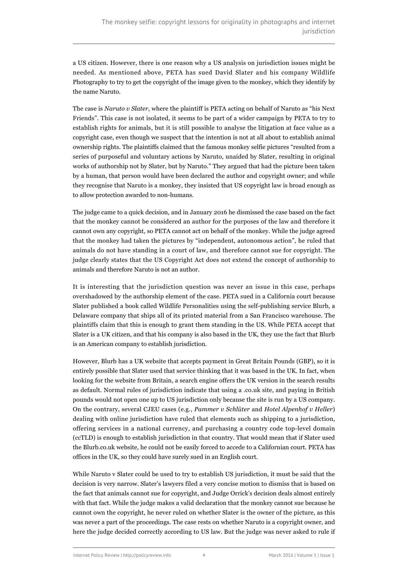a US citizen. However, there is one reason why a US analysis on jurisdiction issues might be needed. As mentioned above, PETA has sued David Slater and his company Wildlife Photography to try to get the copyright of the image given to the monkey, which they identify by the name Naruto.

The case is *[Naruto v Slater](https://assets.documentcloud.org/documents/2700588/Gov-Uscourts-Cand-291324-45-0.pdf)*, where the plaintiff is PETA acting on behalf of Naruto as "his Next Friends". This case [is not isolated,](http://www.peta.org/blog/peta-sues-whole-foods-over-humane-meat-claims/) it seems to be part of a wider campaign by PETA to try to establish rights for animals, but it is still possible to analyse the litigation at face value as a copyright case, even though we suspect that the intention is not at all about to establish animal ownership rights. The plaintiffs claimed that the famous monkey selfie pictures "resulted from a series of purposeful and voluntary actions by Naruto, unaided by Slater, resulting in original works of authorship not by Slater, but by Naruto." They argued that had the picture been taken by a human, that person would have been declared the author and copyright owner; and while they recognise that Naruto is a monkey, they insisted that US copyright law is broad enough as to allow protection awarded to non-humans.

The judge came to a quick decision, and in January 2016 he dismissed the case based on the fact that the monkey cannot be considered an author for the purposes of the law and therefore it cannot own any copyright, so PETA cannot act on behalf of the monkey. While the judge agreed that the monkey had taken the pictures by "independent, autonomous action", he ruled that animals do not have standing in a court of law, and therefore cannot sue for copyright. The judge clearly states that the US Copyright Act does not extend the concept of authorship to animals and therefore Naruto is not an author.

It is interesting that the jurisdiction question was never an issue in this case, perhaps overshadowed by the authorship element of the case. PETA sued in a California court because Slater published a book called [Wildlife Personalities](http://www.blurb.co.uk/b/5809745-wildlife-personalities) using the self-publishing service [Blurb](http://www.blurb.com/), a Delaware company that ships all of its printed material from a San Francisco warehouse. The plaintiffs claim that this is enough to grant them standing in the US. While PETA accept that Slater is a UK citizen, and that his company is also based in the UK, they use the fact that Blurb is an American company to establish jurisdiction.

However, Blurb has [a UK website](http://www.blurb.co.uk) that accepts payment in Great Britain Pounds (GBP), so it is entirely possible that Slater used that service thinking that it was based in the UK. In fact, when looking for the website from Britain, a search engine offers the UK version in the search results as default. Normal rules of jurisdiction indicate that using a .co.uk site, and paying in British pounds would not open one up to US jurisdiction only because the site is run by a US company. On the contrary, several CJEU cases (e.g., *Pammer v Schlüter* and *Hotel Alpenhof v Heller*) dealing with online jurisdiction have ruled that elements such as shipping to a jurisdiction, offering services in a national currency, and purchasing a country code top-level domain (ccTLD) is enough to establish jurisdiction in that country. That would mean that if Slater used the Blurb.co.uk website, he could not be easily forced to accede to a Californian court. PETA has [offices in the UK](http://www.peta.org.uk/), so they could have surely sued in an English court.

While Naruto v Slater could be used to try to establish US jurisdiction, it must be said that the decision is very narrow. Slater's lawyers filed [a very concise motion to dismiss](https://assets.documentcloud.org/documents/2509399/gov-uscourts-cand-291324-28-0.pdf) that is based on the fact that animals cannot sue for copyright, and Judge Orrick's decision deals almost entirely with that fact. While the judge makes a valid declaration that the monkey cannot sue because he cannot own the copyright, he never ruled on whether Slater is the owner of the picture, as this was never a part of the proceedings. The case rests on whether Naruto is a copyright owner, and here the judge decided correctly according to US law. But the judge was never asked to rule if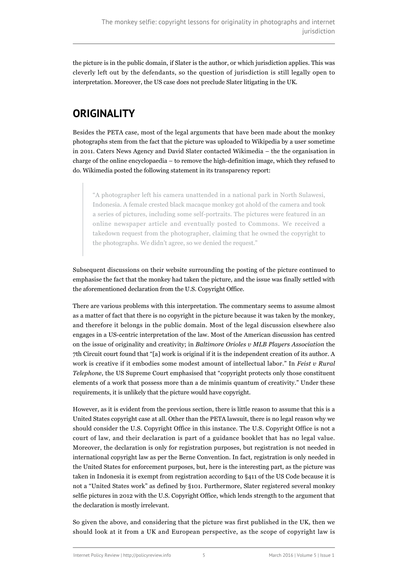the picture is in the public domain, if Slater is the author, or which jurisdiction applies. This was cleverly left out by the defendants, so the question of jurisdiction is still legally open to interpretation. Moreover, the US case does not preclude Slater litigating in the UK.

## **ORIGINALITY**

Besides the PETA case, most of the legal arguments that have been made about the monkey photographs stem from the fact that the picture was uploaded to Wikipedia by a user sometime in 2011. Caters News Agency and David Slater contacted Wikimedia – the the organisation in charge of the online encyclopaedia – to remove the high-definition image, which they refused to do. Wikimedia posted the following statement in its [transparency report](https://transparency.wikimedia.org/content.html):

"A photographer left his camera unattended in a national park in North Sulawesi, Indonesia. A female crested black macaque monkey got ahold of the camera and took a series of pictures, including some self-portraits. The pictures were featured in an online newspaper article and eventually posted to Commons. We received a takedown request from the photographer, claiming that he owned the copyright to the photographs. We didn't agree, so we denied the request."

Subsequent [discussions](https://commons.wikimedia.org/wiki/Commons:Deletion_requests/File:Macaca_nigra_self-portrait_large.jpg) on their website surrounding the posting of the picture continued to emphasise the fact that the monkey had taken the picture, and the issue was finally settled with the aforementioned declaration from the U.S. Copyright Office.

There are various problems with this interpretation. The commentary seems to assume almost as a matter of fact that there is no copyright in the picture because it was taken by the monkey, and therefore it belongs in the public domain. Most of the legal discussion [elsewhere](http://www.washingtonpost.com/news/volokh-conspiracy/wp/2014/08/06/just-another-monkey-copyright-story/) also engages in a US-centric interpretation of the law. Most of the American discussion has centred on the issue of originality and creativity; in *Baltimore Orioles v MLB Players Association* the 7th Circuit court found that "[a] work is original if it is the independent creation of its author. A work is creative if it embodies some modest amount of intellectual labor." In *Feist v Rural Telephone*, the US Supreme Court emphasised that "copyright protects only those constituent elements of a work that possess more than a de minimis quantum of creativity." Under these requirements, it is unlikely that the picture would have copyright.

However, as it is evident from the previous section, there is little reason to assume that this is a United States copyright case at all. Other than the PETA lawsuit, there is no legal reason why we should consider the U.S. Copyright Office in this instance. The U.S. Copyright Office is not a court of law, and their declaration is part of a guidance booklet that has no legal value. Moreover, the declaration is only for registration purposes, but registration is not needed in international copyright law as per the Berne Convention. In fact, registration is only needed in the United States for enforcement purposes, but, here is the interesting part, as the picture was taken in Indonesia it is exempt from registration according to §411 of the US Code because it is not a "United States work" as defined by §101. Furthermore, Slater [registered several monkey](http://cocatalog.loc.gov/cgi-bin/Pwebrecon.cgi?v1=5&ti=1,5&Search_Arg=slater%2C%20david&Search_Code=NALL&CNT=10&PID=Yo2Kq7xSso8wzAuCL3FkUx9Edn&SEQ=20160304112727&SID=3) [selfie pictures](http://cocatalog.loc.gov/cgi-bin/Pwebrecon.cgi?v1=5&ti=1,5&Search_Arg=slater%2C%20david&Search_Code=NALL&CNT=10&PID=Yo2Kq7xSso8wzAuCL3FkUx9Edn&SEQ=20160304112727&SID=3) in 2012 with the U.S. Copyright Office, which lends strength to the argument that the declaration is mostly irrelevant.

So given the above, and considering that the picture was first published in the UK, then we should look at it from a UK and European perspective, as the scope of copyright law is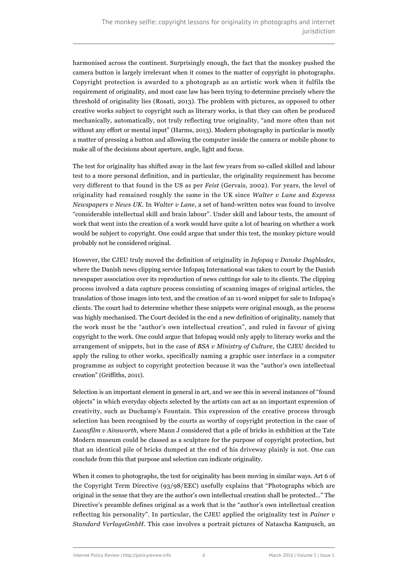harmonised across the continent. Surprisingly enough, the fact that the monkey pushed the camera button is largely irrelevant when it comes to the matter of copyright in photographs. Copyright protection is awarded to a photograph as an artistic work when it fulfils the requirement of originality, and most case law has been trying to determine precisely where the threshold of originality lies (Rosati, 2013). The problem with pictures, as opposed to other creative works subject to copyright such as literary works, is that they can often be produced mechanically, automatically, not truly reflecting true originality, "and more often than not without any effort or mental input" (Harms, 2013). Modern photography in particular is mostly a matter of pressing a button and allowing the computer inside the camera or mobile phone to make all of the decisions about aperture, angle, light and focus.

The test for originality has shifted away in the last few years from so-called skilled and labour test to a more personal definition, and in particular, the originality requirement has become very different to that found in the US as per *Feist* (Gervais, 2002). For years, the level of originality had remained roughly the same in the UK since *Walter v Lane* and *Express Newspapers v News UK*. In *Walter v Lane*, a set of hand-written notes was found to involve "considerable intellectual skill and brain labour". Under skill and labour tests, the amount of work that went into the creation of a work would have quite a lot of bearing on whether a work would be subject to copyright. One could argue that under this test, the monkey picture would probably not be considered original.

However, the CJEU truly moved the definition of originality in *Infopaq v Danske Dagblades*, where the Danish news clipping service Infopaq International was taken to court by the Danish newspaper association over its reproduction of news cuttings for sale to its clients. The clipping process involved a data capture process consisting of scanning images of original articles, the translation of those images into text, and the creation of an 11-word snippet for sale to Infopaq's clients. The court had to determine whether these snippets were original enough, as the process was highly mechanised. The Court decided in the end a new definition of originality, namely that the work must be the "author's own intellectual creation", and ruled in favour of giving copyright to the work. One could argue that Infopaq would only apply to literary works and the arrangement of snippets, but in the case of *BSA v Ministry of Culture*, the CJEU decided to apply the ruling to other works, specifically naming a graphic user interface in a computer programme as subject to copyright protection because it was the "author's own intellectual creation" (Griffiths, 2011).

Selection is an important element in general in art, and we see this in several instances of "[found](http://www.tate.org.uk/learn/online-resources/glossary/f/found-object) [objects"](http://www.tate.org.uk/learn/online-resources/glossary/f/found-object) in which everyday objects selected by the artists can act as an important expression of creativity, such as Duchamp's [Fountain](https://en.wikipedia.org/wiki/Found_object#/media/File:Duchamp_Fountaine.jpg). This expression of the creative process through selection has been recognised by the courts as worthy of copyright protection in the case of *Lucasfilm v Ainsworth*, where Mann J considered that a pile of bricks in exhibition at the Tate Modern museum could be classed as a sculpture for the purpose of copyright protection, but that an identical pile of bricks dumped at the end of his driveway plainly is not. One can conclude from this that purpose and selection can indicate originality.

When it comes to photographs, the test for originality has been moving in similar ways. Art 6 of the Copyright Term Directive (93/98/EEC) usefully explains that "Photographs which are original in the sense that they are the author's own intellectual creation shall be protected…" The Directive's preamble defines original as a work that is the "author's own intellectual creation reflecting his personality". In particular, the CJEU applied the originality test in *Painer v Standard VerlagsGmbH*. This case involves a portrait pictures of Natascha Kampusch, an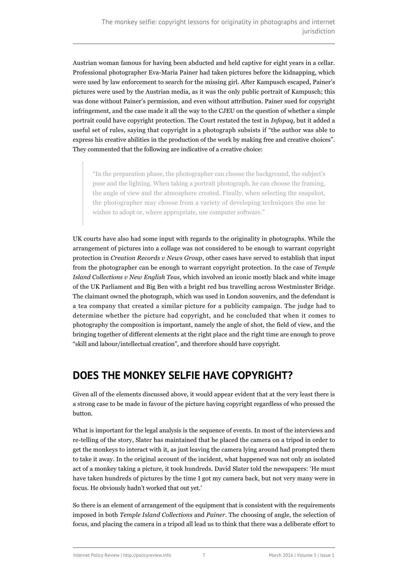Austrian woman famous for having been abducted and held captive for eight years in a cellar. Professional photographer Eva-Maria Painer had taken pictures before the kidnapping, which were used by law enforcement to search for the missing girl. After Kampusch escaped, Painer's pictures were used by the Austrian media, as it was the only public portrait of Kampusch; this was done without Painer's permission, and even without attribution. Painer sued for copyright infringement, and the case made it all the way to the CJEU on the question of whether a simple portrait could have copyright protection. The Court restated the test in *Infopaq*, but it added a useful set of rules, saying that copyright in a photograph subsists if "the author was able to express his creative abilities in the production of the work by making free and creative choices". They commented that the following are indicative of a creative choice:

"In the preparation phase, the photographer can choose the background, the subject's pose and the lighting. When taking a portrait photograph, he can choose the framing, the angle of view and the atmosphere created. Finally, when selecting the snapshot, the photographer may choose from a variety of developing techniques the one he wishes to adopt or, where appropriate, use computer software."

UK courts have also had some input with regards to the originality in photographs. While the arrangement of pictures into a collage was not considered to be enough to warrant copyright protection in *Creation Records v News Group*, other cases have served to establish that input from the photographer can be enough to warrant copyright protection. In the case of *Temple Island Collections v New English Teas*, which involved an iconic mostly black and white image of the UK Parliament and Big Ben with a bright red bus travelling across Westminster Bridge. The claimant owned the photograph, which was used in London souvenirs, and the defendant is a tea company that created a similar picture for a publicity campaign. The judge had to determine whether the picture had copyright, and he concluded that when it comes to photography the composition is important, namely the angle of shot, the field of view, and the bringing together of different elements at the right place and the right time are enough to prove "skill and labour/intellectual creation", and therefore should have copyright.

## **DOES THE MONKEY SELFIE HAVE COPYRIGHT?**

Given all of the elements discussed above, it would appear evident that at the very least there is a strong case to be made in favour of the picture having copyright regardless of who pressed the button.

What is important for the legal analysis is the sequence of events. In most of the interviews and re-telling of the story, Slater has maintained that he placed the camera on a tripod in order to get the monkeys to interact with it, as just leaving the camera lying around had prompted them to take it away. In the [original account of the incident,](http://www.dailymail.co.uk/news/article-2011051/Black-macaque-takes-self-portrait-Monkey-borrows-photographers-camera.html) what happened was not only an isolated act of a monkey taking a picture, it took hundreds. David Slater told the newspapers: 'He must have taken hundreds of pictures by the time I got my camera back, but not very many were in focus. He obviously hadn't worked that out yet.'

So there is an element of arrangement of the equipment that is consistent with the requirements imposed in both *Temple Island Collections* and *Painer*. The choosing of angle, the selection of focus, and placing the camera in a tripod all lead us to think that there was a deliberate effort to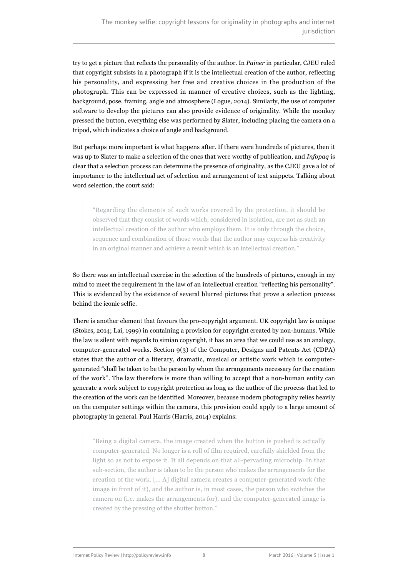try to get a picture that reflects the personality of the author. In *Painer* in particular, CJEU ruled that copyright subsists in a photograph if it is the intellectual creation of the author, reflecting his personality, and expressing her free and creative choices in the production of the photograph. This can be expressed in manner of creative choices, such as the lighting, background, pose, framing, angle and atmosphere (Logue, 2014). Similarly, the use of computer software to develop the pictures can also provide evidence of originality. While the monkey pressed the button, everything else was performed by Slater, including placing the camera on a tripod, which indicates a choice of angle and background.

But perhaps more important is what happens after. If there were hundreds of pictures, then it was up to Slater to make a selection of the ones that were worthy of publication, and *Infopaq* is clear that a selection process can determine the presence of originality, as the CJEU gave a lot of importance to the intellectual act of selection and arrangement of text snippets. Talking about word selection, the court said:

"Regarding the elements of such works covered by the protection, it should be observed that they consist of words which, considered in isolation, are not as such an intellectual creation of the author who employs them. It is only through the choice, sequence and combination of those words that the author may express his creativity in an original manner and achieve a result which is an intellectual creation."

So there was an intellectual exercise in the selection of the hundreds of pictures, enough in my mind to meet the requirement in the law of an intellectual creation "reflecting his personality". This is evidenced by the [existence](http://www.telegraph.co.uk/news/picturegalleries/earth/11021255/David-Slaters-monkey-selfie-photoshoot-the-unseen-pictures.html?frame=3000650) of several [blurred pictures](http://www.catersnews.com/uploadedimages/040720114252645060.jpg) that prove a selection process behind the iconic selfie.

There is another element that favours the pro-copyright argument. UK copyright law is unique (Stokes, 2014; Lai, 1999) in containing a provision for copyright created by non-humans. While the law is silent with regards to simian copyright, it has an area that we could use as an analogy, computer-generated works. Section 9(3) of the Computer, Designs and Patents Act (CDPA) states that the author of a literary, dramatic, musical or artistic work which is computergenerated "shall be taken to be the person by whom the arrangements necessary for the creation of the work". The law therefore is more than willing to accept that a non-human entity can generate a work subject to copyright protection as long as the author of the process that led to the creation of the work can be identified. Moreover, because modern photography relies heavily on the computer settings within the camera, this provision could apply to a large amount of photography in general. Paul Harris (Harris, 2014) explains:

"Being a digital camera, the image created when the button is pushed is actually computer-generated. No longer is a roll of film required, carefully shielded from the light so as not to expose it. It all depends on that all-pervading microchip. In that sub-section, the author is taken to be the person who makes the arrangements for the creation of the work. [… A] digital camera creates a computer-generated work (the image in front of it), and the author is, in most cases, the person who switches the camera on (i.e. makes the arrangements for), and the computer-generated image is created by the pressing of the shutter button."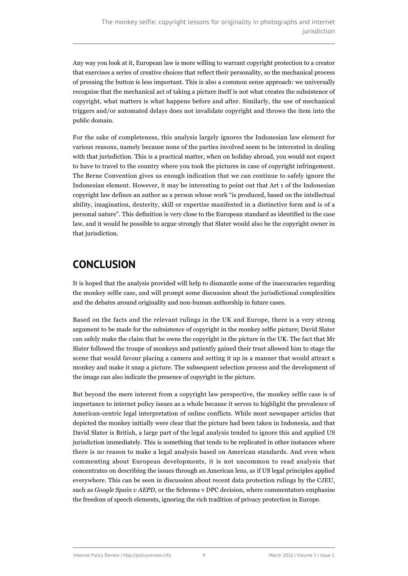Any way you look at it, European law is more willing to warrant copyright protection to a creator that exercises a series of creative choices that reflect their personality, so the mechanical process of pressing the button is less important. This is also a common sense approach: we universally recognise that the mechanical act of taking a picture itself is not what creates the subsistence of copyright, what matters is what happens before and after. Similarly, the use of mechanical triggers and/or automated delays does not invalidate copyright and throws the item into the public domain.

For the sake of completeness, this analysis largely ignores the Indonesian law element for various reasons, namely because none of the parties involved seem to be interested in dealing with that jurisdiction. This is a practical matter, when on holiday abroad, you would not expect to have to travel to the country where you took the pictures in case of copyright infringement. The Berne Convention gives us enough indication that we can continue to safely ignore the Indonesian element. However, it may be interesting to point out that Art 1 of the [Indonesian](http://www.wipo.int/wipolex/en/text.jsp?file_id=174070) [copyright law](http://www.wipo.int/wipolex/en/text.jsp?file_id=174070) defines an author as a person whose work "is produced, based on the intellectual ability, imagination, dexterity, skill or expertise manifested in a distinctive form and is of a personal nature". This definition is very close to the European standard as identified in the case law, and it would be possible to argue strongly that Slater would also be the copyright owner in that jurisdiction.

## **CONCLUSION**

It is hoped that the analysis provided will help to dismantle some of the inaccuracies regarding the monkey selfie case, and will prompt some discussion about the jurisdictional complexities and the debates around originality and non-human authorship in future cases.

Based on the facts and the relevant rulings in the UK and Europe, there is a very strong argument to be made for the subsistence of copyright in the monkey selfie picture; David Slater can safely make the claim that he owns the copyright in the picture in the UK. The fact that Mr Slater followed the troupe of monkeys and patiently gained their trust allowed him to stage the scene that would favour placing a camera and setting it up in a manner that would attract a monkey and make it snap a picture. The subsequent selection process and the development of the image can also indicate the presence of copyright in the picture.

But beyond the mere interest from a copyright law perspective, the monkey selfie case is of importance to internet policy issues as a whole because it serves to highlight the prevalence of American-centric legal interpretation of online conflicts. While most newspaper articles that depicted the monkey initially were clear that the picture had been taken in Indonesia, and that David Slater is British, a large part of the legal analysis tended to ignore this and applied US jurisdiction immediately. This is something that tends to be replicated in other instances where there is no reason to make a legal analysis based on American standards. And even when commenting about European developments, it is not uncommon to read analysis that concentrates on describing the issues through an American lens, as if US legal principles applied everywhere. This can be seen in discussion about recent data protection rulings by the CJEU, such as *Google Spain v AEPD*, or the Schrems v DPC decision, where commentators emphasise the freedom of speech elements, ignoring the rich tradition of privacy protection in Europe.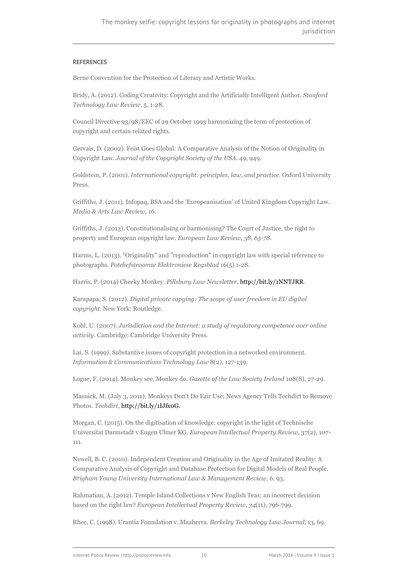#### **REFERENCES**

Berne Convention for the Protection of Literary and Artistic Works.

Bridy, A. (2012). Coding Creativity: Copyright and the Artificially Intelligent Author. *Stanford Technology Law Review*, 5, 1-28.

Council Directive 93/98/EEC of 29 October 1993 harmonizing the term of protection of copyright and certain related rights.

Gervais, D. (2002). Feist Goes Global: A Comparative Analysis of the Notion of Originality in Copyright Law. *Journal of the Copyright Society of the USA*. 49, 949.

Goldstein, P. (2001). *International copyright: principles, law, and practice*. Oxford University Press.

Griffiths, J. (2011). Infopaq, BSA and the 'Europeanisation' of United Kingdom Copyright Law. *Media & Arts Law Review, 16*.

Griffiths, J. (2013). Constitutionalising or harmonising? The Court of Justice, the right to property and European copyright law. *European Law Review, 38, 65-78*.

Harms, L. (2013). "Originality" and "reproduction" in copyright law with special reference to photographs. *Potchefstroomse Elektroniese Regsblad* 16(5) 1-28.

Harris, P. (2014) Cheeky Monkey. *Pillsbury Law Newsletter*,<http://bit.ly/1NNTJRR>.

Karapapa, S. (2012). *Digital private copying: The scope of user freedom in EU digital copyright*. New York: Routledge.

Kohl, U. (2007). *Jurisdiction and the Internet: a study of regulatory competence over online activity*. Cambridge: Cambridge University Press.

Lai, S. (1999). Substantive issues of copyright protection in a networked environment. *Information & Communications Technology Law* 8(2), 127-139.

Logue, F. (2014). Monkey see, Monkey do. *Gazette of the Law Society Ireland* 108(8), 27-29.

Masnick, M. (July 3, 2011). Monkeys Don't Do Fair Use; News Agency Tells Techdirt to Remove Photos. *Techdirt*, [http://bit.ly/1IJfx0G.](http://bit.ly/1IJfx0G)

Morgan, C. (2015). On the digitisation of knowledge: copyright in the light of Technische Universitat Darmstadt v Eugen Ulmer KG. *European Intellectual Property Review*, 37(2), 107- 111.

Newell, B. C. (2010). Independent Creation and Originality in the Age of Imitated Reality: A Comparative Analysis of Copyright and Database Protection for Digital Models of Real People. *Brigham Young University International Law & Management Review*, 6, 93.

Rahmatian, A. (2012). Temple Island Collections v New English Teas: an incorrect decision based on the right law? *European Intellectual Property Review, 34*(11), 796-799.

Rhee, C. (1998). Urantia Foundation v. Maaherra. *Berkeley Technology Law Journal,* 13, 69.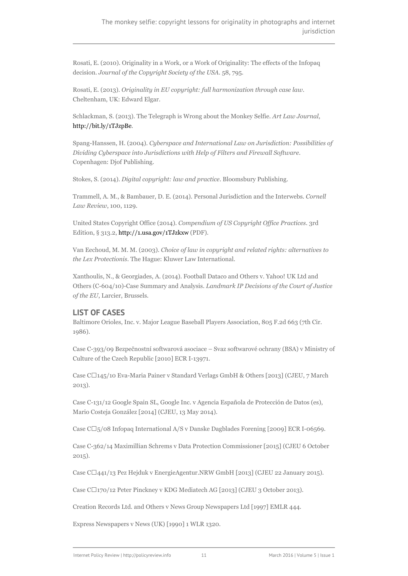Rosati, E. (2010). Originality in a Work, or a Work of Originality: The effects of the Infopaq decision. *Journal of the Copyright Society of the USA*. 58, 795.

Rosati, E. (2013). *Originality in EU copyright: full harmonization through case law*. Cheltenham, UK: Edward Elgar.

Schlackman, S. (2013). The Telegraph is Wrong about the Monkey Selfie. *Art Law Journal*, <http://bit.ly/1TJzpBe>.

Spang-Hanssen, H. (2004). *Cyberspace and International Law on Jurisdiction: Possibilities of Dividing Cyberspace into Jurisdictions with Help of Filters and Firewall Software*. Copenhagen: Djof Publishing.

Stokes, S. (2014). *Digital copyright: law and practice*. Bloomsbury Publishing.

Trammell, A. M., & Bambauer, D. E. (2014). Personal Jurisdiction and the Interwebs. *Cornell Law Review*, 100, 1129.

United States Copyright Office (2014). *Compendium of US Copyright Office Practices*. 3rd Edition, § 313.2,<http://1.usa.gov/1TJzkxw> (PDF).

Van Eechoud, M. M. M. (2003). *Choice of law in copyright and related rights: alternatives to the Lex Protectionis*. The Hague: Kluwer Law International.

Xanthoulis, N., & Georgiades, A. (2014). Football Dataco and Others v. Yahoo! UK Ltd and Others (C-604/10)-Case Summary and Analysis. *Landmark IP Decisions of the Court of Justice of the EU*, Larcier, Brussels.

#### **LIST OF CASES**

Baltimore Orioles, Inc. v. Major League Baseball Players Association, 805 F.2d 663 (7th Cir. 1986).

Case C-393/09 Bezpečnostní softwarová asociace – Svaz softwarové ochrany (BSA) v Ministry of Culture of the Czech Republic [2010] ECR I-13971.

Case C $\Box$ 145/10 Eva-Maria Painer v Standard Verlags GmbH & Others [2013] (CJEU, 7 March 2013).

Case C-131/12 Google Spain SL, Google Inc. v Agencia Española de Protección de Datos (es), Mario Costeja González [2014] (CJEU, 13 May 2014).

Case  $\text{Cl}_5$ /08 Infopaq International A/S v Danske Dagblades Forening [2009] ECR I-06569.

Case C-362/14 Maximillian Schrems v Data Protection Commissioner [2015] (CJEU 6 October 2015).

Case C‑441/13 Pez Hejduk v EnergieAgentur.NRW GmbH [2013] (CJEU 22 January 2015).

Case  $C\square$ 170/12 Peter Pinckney v KDG Mediatech AG [2013] (CJEU 3 October 2013).

Creation Records Ltd. and Others v News Group Newspapers Ltd [1997] EMLR 444.

Express Newspapers v News (UK) [1990] 1 WLR 1320.